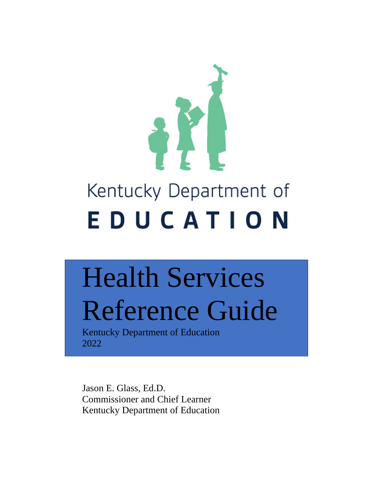

# Health Services Reference Guide

Kentucky Department of Education 2022

Jason E. Glass, Ed.D. Commissioner and Chief Learner Kentucky Department of Education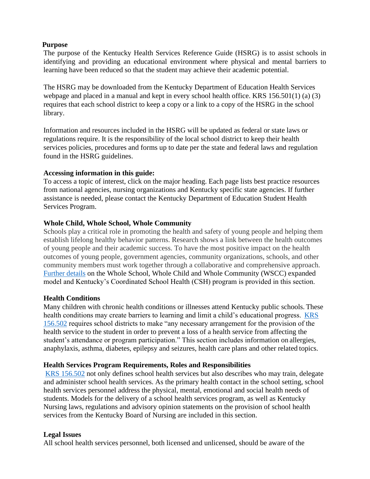#### **Purpose**

The purpose of the Kentucky Health Services Reference Guide (HSRG) is to assist schools in identifying and providing an educational environment where physical and mental barriers to learning have been reduced so that the student may achieve their academic potential.

The HSRG may be downloaded from the Kentucky Department of Education Health Services webpage and placed in a manual and kept in every school health office. KRS 156.501(1) (a) (3) requires that each school district to keep a copy or a link to a copy of the HSRG in the school library.

Information and resources included in the HSRG will be updated as federal or state laws or regulations require. It is the responsibility of the local school district to keep their health services policies, procedures and forms up to date per the state and federal laws and regulation found in the HSRG guidelines.

#### **Accessing information in this guide:**

To access a topic of interest, click on the major heading. Each page lists best practice resources from national agencies, nursing organizations and Kentucky specific state agencies. If further assistance is needed, please contact the Kentucky Department of Education Student Health Services Program.

### **[Whole](https://education.ky.gov/curriculum/CSH/Pages/default.aspx) Child, Whole School, Whole Community**

Schools play a critical role in promoting the health and safety of young people and helping them establish lifelong healthy behavior patterns. Research shows a link between the health outcomes of young people and their academic success. To have the most positive impact on the health outcomes of young people, government agencies, community organizations, schools, and other community members must work together through a collaborative and comprehensive approach. [Further details](https://education.ky.gov/curriculum/WSCC/wholechild/Pages/default.aspx) on the Whole School, Whole Child and Whole Community (WSCC) expanded model and Kentucky's Coordinated School Health (CSH) program is provided in this section.

#### **Health Conditions**

Many children with chronic health conditions or illnesses attend Kentucky public schools. These health conditions may create barriers to learning and limit a child's educational progress. [KRS](https://apps.legislature.ky.gov/law/statutes/statute.aspx?id=42933) [156.502](https://apps.legislature.ky.gov/law/statutes/statute.aspx?id=42933) requires school districts to make "any necessary arrangement for the provision of the health service to the student in order to prevent a loss of a health service from affecting the student's attendance or program participation." This section includes information on allergies, anaphylaxis, asthma, diabetes, epilepsy and seizures, health care plans and other related topics.

#### **Health Services Program Requirements, Roles and Responsibilities**

[KRS 156.502](https://apps.legislature.ky.gov/law/statutes/statute.aspx?id=42933) not only defines school health services but also describes who may train, delegate and administer school health services. As the primary health contact in the school setting, school health services personnel address the physical, mental, emotional and social health needs of students. Models for the delivery of a school health services program, as well as Kentucky Nursing laws, regulations and advisory opinion statements on the provision of school health services from the Kentucky Board of Nursing are included in this section.

### **Legal Issues**

All school health services personnel, both licensed and unlicensed, should be aware of the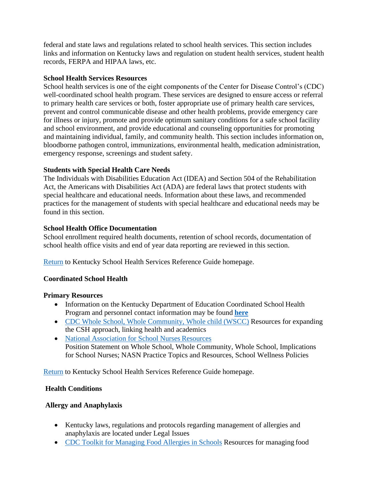federal and state laws and regulations related to school health services. This section includes links and information on Kentucky laws and regulation on student health services, student health records, FERPA and HIPAA laws, etc.

#### **School Health Services Resources**

School health services is one of the eight components of the Center for Disease Control's (CDC) well-coordinated school health program. These services are designed to ensure access or referral to primary health care services or both, foster appropriate use of primary health care services, prevent and control communicable disease and other health problems, provide emergency care for illness or injury, promote and provide optimum sanitary conditions for a safe school facility and school environment, and provide educational and counseling opportunities for promoting and maintaining individual, family, and community health. This section includes information on, bloodborne pathogen control, immunizations, environmental health, medication administration, emergency response, screenings and student safety.

### **Students with Special Health Care Needs**

The Individuals with Disabilities Education Act (IDEA) and Section 504 of the Rehabilitation Act, the Americans with Disabilities Act (ADA) are federal laws that protect students with special healthcare and educational needs. Information about these laws, and recommended practices for the management of students with special healthcare and educational needs may be found in this section.

## **School Health Office Documentation**

School enrollment required health documents, retention of school records, documentation of school health office visits and end of year data reporting are reviewed in this section.

[Return](https://education.ky.gov/districts/SHS/Pages/default.aspx) to Kentucky School Health Services Reference Guide homepage.

### **Coordinated School Health**

### **Primary Resources**

- Information on the Kentucky Department of Education Coordinated School Health Program and personnel contact information may be found **[here](https://education.ky.gov/curriculum/WSCC/wholechild/Pages/default.aspx)**
- [CDC Whole School, Whole Community, Whole child \(WSCC\)](https://www.cdc.gov/healthyschools/wscc/index.htm) Resources for expanding the CSH approach, linking health and academics
- [National Association for School Nurses](https://www.nasn.org/nasnold2022/advocacy/professional-practice-documents/position-statements/ps-wscc) Resources Position Statement on Whole School, Whole Community, Whole School, Implications for School Nurses; NASN Practice Topics and Resources, School Wellness Policies

[Return](https://education.ky.gov/districts/SHS/Pages/default.aspx) to Kentucky School Health Services Reference Guide homepage.

### **Health Conditions**

### **Allergy and Anaphylaxis**

- Kentucky laws, regulations and protocols regarding management of allergies and anaphylaxis are located under Legal Issues
- [CDC Toolkit for Managing Food Allergies in Schools](https://www.cdc.gov/healthyschools/foodallergies/index.htm) Resources for managing food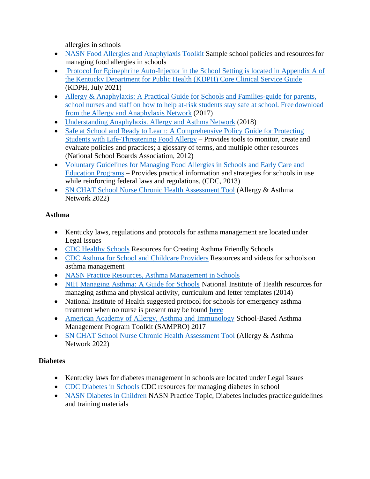allergies in schools

- [NASN Food Allergies and Anaphylaxis Toolkit](https://www.nasn.org/nasn-resources/resources-by-topic/allergies-anaphylaxis) Sample school policies and resources for managing food allergies in schools
- Protocol for Epinephrine Auto-Injector in the School Setting is located in Appendix A of [the Kentucky Department for Public Health \(KDPH\) Core Clinical Service Guide](https://chfs.ky.gov/agencies/dph/oc/Documents/ClinicalServiceGuide.pdf) (KDPH, July 2021)
- Allergy & Anaphylaxis: A Practical Guide for Schools and Families-guide for parents, [school nurses and staff on how to help at-risk students stay safe at school. Free](https://members.allergyasthmanetwork.org/store/ViewProduct.aspx?ID=9372183) download [from the Allergy and Anaphylaxis Network](https://members.allergyasthmanetwork.org/store/ViewProduct.aspx?ID=9372183) (2017)
- [Understanding Anaphylaxis. Allergy and Asthma](https://members.allergyasthmanetwork.org/store/ViewProduct.aspx?id=4110423) Network (2018)
- Safe at School and Ready to Learn: A Comprehensive Policy Guide for Protecting [Students with Life-Threatening Food Allergy](https://cdn-files.nsba.org/s3fs-public/reports/Safe-at-School-and-Ready-to-Learn.pdf?COh1FORdHmb4gcA_4KszRU4F0syFuVut) – Provides tools to monitor, create and evaluate policies and practices; a glossary of terms, and multiple other resources (National School Boards Association, 2012)
- [Voluntary Guidelines for Managing Food Allergies in Schools and Early Care and](https://www.cdc.gov/healthyschools/foodallergies/pdf/20_316712-A_FA_guide_508tag.pdf)  [Education Programs](https://www.cdc.gov/healthyschools/foodallergies/pdf/20_316712-A_FA_guide_508tag.pdf) – Provides practical information and strategies for schools in use while reinforcing federal laws and regulations. (CDC, 2013)
- [SN CHAT School Nurse Chronic Health Assessment Tool](https://members.allergyasthmanetwork.org/store/viewproduct.aspx?id=19025988) (Allergy & Asthma Network 2022)

# **Asthma**

- Kentucky laws, regulations and protocols for asthma management are located under Legal Issues
- [CDC Healthy Schools](https://www.cdc.gov/healthyschools/asthma/index.htm) Resources for Creating Asthma Friendly Schools
- [CDC Asthma for School and Childcare Providers](https://www.cdc.gov/asthma/schools.html) Resources and videos for schools on asthma management
- [NASN Practice Resources, Asthma Management in Schools](https://www.nasn.org/nasn-resources/resources-by-topic/asthma)
- [NIH Managing Asthma: A Guide for Schools](https://www.nhlbi.nih.gov/files/docs/resources/lung/NACI_ManagingAsthma-508%20FINAL.pdf) National Institute of Health resources for managing asthma and physical activity, curriculum and letter templates (2014)
- National Institute of Health suggested protocol for schools for emergency asthma treatment when no nurse is present may be found **[here](https://www.nhlbi.nih.gov/health-topics/all-publications-and-resources/management-asthma-exacerbations-school-treatment)**
- [American Academy of Allergy, Asthma and Immunology](https://schoolnursing101.com/wp-content/uploads/2018/08/SAMPRO-Toolkit.pdf) School-Based Asthma Management Program Toolkit (SAMPRO) 2017
- [SN CHAT School Nurse Chronic Health Assessment Tool](https://members.allergyasthmanetwork.org/store/viewproduct.aspx?id=19025988) (Allergy & Asthma Network 2022)

# **Diabetes**

- Kentucky laws for diabetes management in schools are located under Legal Issues
- [CDC Diabetes in Schools](https://www.cdc.gov/healthyschools/npao/diabetes.htm) CDC resources for managing diabetes in school
- [NASN Diabetes in Children](https://www.nasn.org/nasn-resources/practice-topics/diabetes) NASN Practice Topic, Diabetes includes practice guidelines and training materials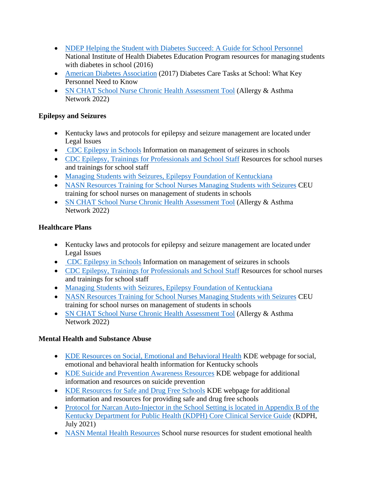- [NDEP Helping the Student with Diabetes Succeed: A Guide for School Personnel](https://www.niddk.nih.gov/health-information/communication-programs/ndep/health-professionals/helping-student-diabetes-succeed-guide-school-personnel) National Institute of Health Diabetes Education Program resources for managing students with diabetes in school (2016)
- [American Diabetes Association](https://diabetes.org/tools-support/know-your-rights/safe-at-school-state-laws/training-resources-school-staff/diabetes-care-tasks-school) (2017) Diabetes Care Tasks at School: What Key Personnel Need to Know
- [SN CHAT School Nurse Chronic Health Assessment Tool](https://members.allergyasthmanetwork.org/store/viewproduct.aspx?id=19025988) (Allergy & Asthma Network 2022)

## **Epilepsy and Seizures**

- Kentucky laws and protocols for epilepsy and seizure management are located under Legal Issues
- [CDC Epilepsy in Schools](https://www.cdc.gov/healthyschools/npao/epilepsy.htm) Information on management of seizures in schools
- [CDC Epilepsy, Trainings for Professionals and School Staff](https://www.cdc.gov/epilepsy/professionals.htm) Resources for school nurses and trainings for school staff
- [Managing Students with Seizures, Epilepsy Foundation of](https://www.efky.org/education--training.html) Kentuckiana
- [NASN Resources Training for School Nurses Managing Students with Seizures](https://schoolnursenet.nasn.org/viewdocument/managing-students-with-seizures-a) CEU training for school nurses on management of students in schools
- [SN CHAT School Nurse Chronic Health Assessment Tool](https://members.allergyasthmanetwork.org/store/viewproduct.aspx?id=19025988) (Allergy & Asthma Network 2022)

# **Healthcare Plans**

- Kentucky laws and protocols for epilepsy and seizure management are located under Legal Issues
- [CDC Epilepsy in Schools](https://www.cdc.gov/healthyschools/npao/epilepsy.htm) Information on management of seizures in schools
- [CDC Epilepsy, Trainings for Professionals and School Staff](https://www.cdc.gov/epilepsy/professionals.htm) Resources for school nurses and trainings for school staff
- [Managing Students with Seizures, Epilepsy Foundation of](https://www.efky.org/education--training.html) Kentuckiana
- [NASN Resources Training for School Nurses Managing Students with Seizures](https://schoolnursenet.nasn.org/viewdocument/managing-students-with-seizures-a) CEU training for school nurses on management of students in schools
- [SN CHAT School Nurse Chronic Health Assessment Tool](https://members.allergyasthmanetwork.org/store/viewproduct.aspx?id=19025988) (Allergy & Asthma Network 2022)

# **Mental Health and Substance Abuse**

- [KDE Resources on Social, Emotional and Behavioral Health](https://education.ky.gov/school/sdfs/Pages/Social,-Emotional-and-Behavioral-Learning-Health.aspx) KDE webpage forsocial, emotional and behavioral health information for Kentucky schools
- [KDE Suicide and Prevention Awareness Resources](https://education.ky.gov/SCHOOL/SDFS/Pages/Suicide-Prevention-and-Awareness.aspx) KDE webpage for additional information and resources on suicide prevention
- [KDE Resources for Safe and Drug Free Schools](https://education.ky.gov/school/sdfs/Pages/Additional-Resources.aspx) KDE webpage for additional information and resources for providing safe and drug free schools
- Protocol for Narcan Auto-Injector in the School Setting is located in Appendix B of the [Kentucky Department for Public Health \(KDPH\) Core Clinical Service Guide](https://chfs.ky.gov/agencies/dph/oc/Documents/ClinicalServiceGuide.pdf) (KDPH, July 2021)
- [NASN Mental Health Resources](https://schoolnursenet.nasn.org/nasn/nasn-resources/practice-topics/mental-health) School nurse resources for student emotional health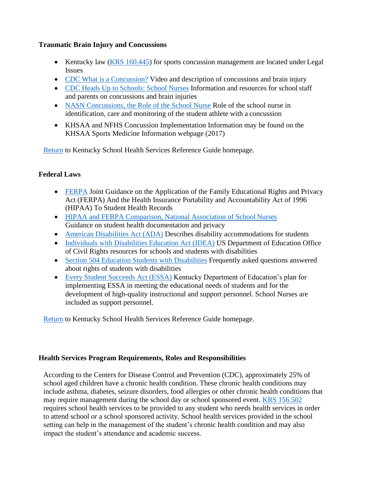### **Traumatic Brain Injury and Concussions**

- Kentucky law [\(KRS 160.445\)](https://apps.legislature.ky.gov/law/acts/17RS/documents/0160.pdf) for sports concussion management are located under Legal Issues
- [CDC What is a Concussion?](https://www.cdc.gov/headsup/basics/concussion_whatis.html) Video and description of concussions and brain injury
- [CDC Heads Up to Schools: School Nurses](https://www.cdc.gov/headsup/schools/nurses.html) Information and resources for schoolstaff and parents on concussions and brain injuries
- [NASN Concussions, the Role of the School Nurse](https://www.nasn.org/nasn/advocacy/professional-practice-documents/position-statements/ps-concussions) Role of the school nurse in identification, care and monitoring of the student athlete with a concussion
- KHSAA and NFHS Concussion Implementation Information may be found on the KHSAA Sports Medicine Information webpage (2017)

[Return](https://education.ky.gov/districts/SHS/Pages/default.aspx) to Kentucky School Health Services Reference Guide homepage.

## **Federal Laws**

- [FERPA](https://www.hhs.gov/sites/default/files/2019-hipaa-ferpa-joint-guidance-508.pdf) Joint Guidance on the Application of the Family Educational Rights and Privacy Act (FERPA) And the Health Insurance Portability and Accountability Act of 1996 (HIPAA) To Student Health Records
- [HIPAA and FERPA Comparison, National Association of School](https://www.nasn.org/nasn/nasn-resources/professional-topics/school-health-documentation/hipaa-ferpa) Nurses Guidance on student health documentation and privacy
- [American Disabilities Act \(ADA\)](https://www2.ed.gov/policy/rights/guid/ocr/disability.html) Describes disability accommodations for students
- [Individuals with Disabilities Education Act \(IDEA\)](https://sites.ed.gov/idea/about-idea/) US Department of Education Office of Civil Rights resources for schools and students with disabilities
- [Section 504 Education Students with Disabilities](https://www2.ed.gov/about/offices/list/ocr/504faq.html) Frequently asked questions answered about rights of students with disabilities
- [Every Student Succeeds Act \(ESSA\)](https://education.ky.gov/comm/Pages/Every-Student-Succeeds-Act-(ESSA).aspx) Kentucky Department of Education's plan for implementing ESSA in meeting the educational needs of students and for the development of high-quality instructional and support personnel. School Nurses are included as support personnel.

[Return](https://education.ky.gov/districts/SHS/Pages/default.aspx) to Kentucky School Health Services Reference Guide homepage.

### **Health Services Program Requirements, Roles and Responsibilities**

According to the Centers for Disease Control and Prevention (CDC), approximately 25% of school aged children have a chronic health condition. These chronic health conditions may include asthma, diabetes, seizure disorders, food allergies or other chronic health conditions that may require management during the school day or school sponsored event. [KRS 156.502](https://apps.legislature.ky.gov/law/statutes/statute.aspx?id=42933) requires school health services to be provided to any student who needs health services in order to attend school or a school sponsored activity. School health services provided in the school setting can help in the management of the student's chronic health condition and may also impact the student's attendance and academic success.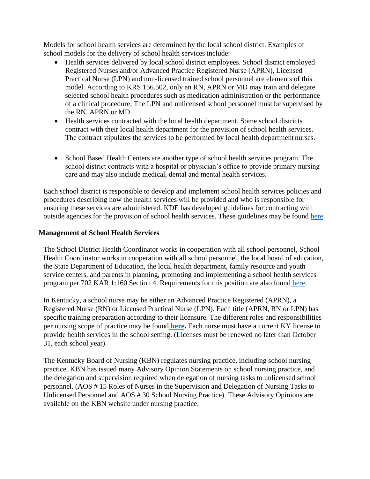Models for school health services are determined by the local school district. Examples of school models for the delivery of school health services include:

- Health services delivered by local school district employees. School district employed Registered Nurses and/or Advanced Practice Registered Nurse (APRN), Licensed Practical Nurse (LPN) and non-licensed trained school personnel are elements of this model. According to KRS 156.502, only an RN, APRN or MD may train and delegate selected school health procedures such as medication administration or the performance of a clinical procedure. The LPN and unlicensed school personnel must be supervised by the RN, APRN or MD.
- Health services contracted with the local health department. Some school districts contract with their local health department for the provision of school health services. The contract stipulates the services to be performed by local health department nurses.
- School Based Health Centers are another type of school health services program. The school district contracts with a hospital or physician's office to provide primary nursing care and may also include medical, dental and mental health services.

Each school district is responsible to develop and implement school health services policies and procedures describing how the health services will be provided and who is responsible for ensuring these services are administered. KDE has developed guidelines for contracting with outside agencies for the provision of school health services. These guidelines may be found [here](https://education.ky.gov/districts/SHS/Documents/Guidance%20for%20school%20health%20services%20contracts.pdf)

#### **Management of School Health Services**

The School District Health Coordinator works in cooperation with all school personnel, School Health Coordinator works in cooperation with all school personnel, the local board of education, the State Department of Education, the local health department, family resource and youth service centers, and parents in planning, promoting and implementing a school health services program per 702 KAR 1:160 Section 4. Requirements for this position are also found [here.](https://apps.legislature.ky.gov/law/kar/702/001/160.pdf)

In Kentucky, a school nurse may be either an Advanced Practice Registered (APRN), a Registered Nurse (RN) or Licensed Practical Nurse (LPN). Each title (APRN, RN or LPN) has specific training preparation according to their licensure. The different roles and responsibilities per nursing scope of practice may be found **[here.](https://apps.legislature.ky.gov/law/statutes/statute.aspx?id=48246)** Each nurse must have a current KY license to provide health services in the school setting. (Licenses must be renewed no later than October 31, each school year).

The Kentucky Board of Nursing (KBN) regulates nursing practice, including school nursing practice. KBN has issued many Advisory Opinion Statements on school nursing practice, and the delegation and supervision required when delegation of nursing tasks to unlicensed school personnel. (AOS # 15 Roles of Nurses in the Supervision and Delegation of Nursing Tasks to Unlicensed Personnel and AOS # 30 School Nursing Practice). These Advisory Opinions are available on the KBN website under nursing practice.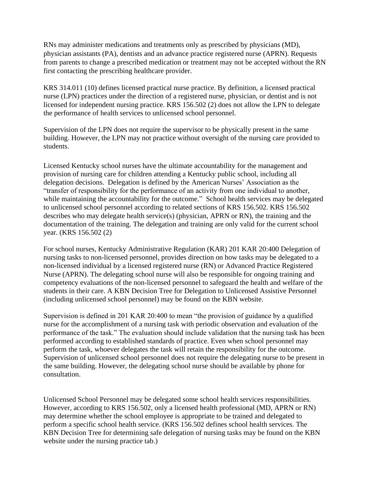RNs may administer medications and treatments only as prescribed by physicians (MD), physician assistants (PA), dentists and an advance practice registered nurse (APRN). Requests from parents to change a prescribed medication or treatment may not be accepted without the RN first contacting the prescribing healthcare provider.

KRS 314.011 (10) defines licensed practical nurse practice. By definition, a licensed practical nurse (LPN) practices under the direction of a registered nurse, physician, or dentist and is not licensed for independent nursing practice. KRS 156.502 (2) does not allow the LPN to delegate the performance of health services to unlicensed school personnel.

Supervision of the LPN does not require the supervisor to be physically present in the same building. However, the LPN may not practice without oversight of the nursing care provided to students.

Licensed Kentucky school nurses have the ultimate accountability for the management and provision of nursing care for children attending a Kentucky public school, including all delegation decisions. Delegation is defined by the American Nurses' Association as the "transfer of responsibility for the performance of an activity from one individual to another, while maintaining the accountability for the outcome." School health services may be delegated to unlicensed school personnel according to related sections of KRS 156.502. KRS 156.502 describes who may delegate health service(s) (physician, APRN or RN), the training and the documentation of the training. The delegation and training are only valid for the current school year. (KRS 156.502 (2)

For school nurses, Kentucky Administrative Regulation (KAR) 201 KAR 20:400 Delegation of nursing tasks to non-licensed personnel, provides direction on how tasks may be delegated to a non-licensed individual by a licensed registered nurse (RN) or Advanced Practice Registered Nurse (APRN). The delegating school nurse will also be responsible for ongoing training and competency evaluations of the non-licensed personnel to safeguard the health and welfare of the students in their care. A KBN Decision Tree for Delegation to Unlicensed Assistive Personnel (including unlicensed school personnel) may be found on the KBN website.

Supervision is defined in 201 KAR 20:400 to mean "the provision of guidance by a qualified nurse for the accomplishment of a nursing task with periodic observation and evaluation of the performance of the task." The evaluation should include validation that the nursing task has been performed according to established standards of practice. Even when school personnel may perform the task, whoever delegates the task will retain the responsibility for the outcome. Supervision of unlicensed school personnel does not require the delegating nurse to be present in the same building. However, the delegating school nurse should be available by phone for consultation.

Unlicensed School Personnel may be delegated some school health services responsibilities. However, according to KRS 156.502, only a licensed health professional (MD, APRN or RN) may determine whether the school employee is appropriate to be trained and delegated to perform a specific school health service. (KRS 156.502 defines school health services. The KBN Decision Tree for determining safe delegation of nursing tasks may be found on the KBN website under the nursing practice tab.)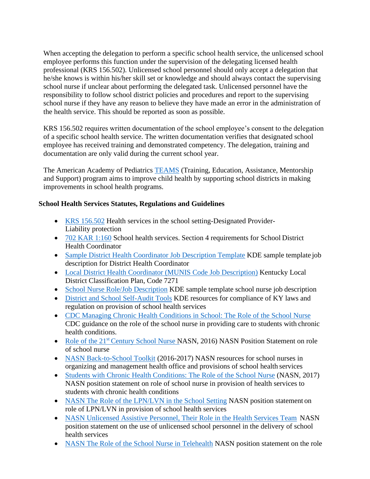When accepting the delegation to perform a specific school health service, the unlicensed school employee performs this function under the supervision of the delegating licensed health professional (KRS 156.502). Unlicensed school personnel should only accept a delegation that he/she knows is within his/her skill set or knowledge and should always contact the supervising school nurse if unclear about performing the delegated task. Unlicensed personnel have the responsibility to follow school district policies and procedures and report to the supervising school nurse if they have any reason to believe they have made an error in the administration of the health service. This should be reported as soon as possible.

KRS 156.502 requires written documentation of the school employee's consent to the delegation of a specific school health service. The written documentation verifies that designated school employee has received training and demonstrated competency. The delegation, training and documentation are only valid during the current school year.

The American Academy of Pediatrics [TEAMS](https://schoolhealthteams.aap.org/public/content.cfm?m=18&id=18&startRow=1&mm=0&parentMenuID=0) (Training, Education, Assistance, Mentorship and Support) program aims to improve child health by supporting school districts in making improvements in school health programs.

## **School Health Services Statutes, Regulations and Guidelines**

- [KRS 156.502](https://apps.legislature.ky.gov/law/statutes/statute.aspx?id=42933) Health services in the school setting-Designated Provider-Liability protection
- [702 KAR 1:160](https://apps.legislature.ky.gov/law/kar/titles/702/001/160/) School health services. Section 4 requirements for School District Health Coordinator
- [Sample District Health Coordinator Job Description Template](https://education.ky.gov/districts/SHS/Pages/District-Health-Coordinators-Briefcase.aspx) KDE sample template job description for District Health Coordinator
- [Local District Health Coordinator \(MUNIS Code Job Description\)](https://education.ky.gov/districts/SHS/Documents/MUNISClassCode7271LocalDistirctHealthCoordinator%20%28ADA%29.pdf) Kentucky Local District Classification Plan, Code 7271
- [School Nurse Role/Job Description](https://education.ky.gov/districts/SHS/Documents/ROLEOFSNJobDescTemplate%20%28ADA%29.pdf) KDE sample template school nurse job description
- [District and School Self-Audit Tools](https://education.ky.gov/districts/SHS/Pages/District-Health-Coordinators-Briefcase.aspx) KDE resources for compliance of KY laws and regulation on provision of school health services
- [CDC Managing Chronic Health Conditions in School: The Role of the School Nurse](https://www.cdc.gov/healthyschools/chronic_conditions/pdfs/2017_02_15-FactSheet-RoleOfSchoolNurses_FINAL_508.pdf) CDC guidance on the role of the school nurse in providing care to students with chronic health conditions.
- Role of the 21<sup>st</sup> [Century School Nurse](https://schoolnursenet.nasn.org/blogs/nasn-profile/2017/03/13/the-role-of-the-21st-century-school-nurse) NASN, 2016) NASN Position Statement on role of school nurse
- [NASN Back-to-School Toolkit](https://schoolnursenet.nasn.org/blogs/margaret-cellucci/2016/09/06/2016-2017-nasn-back-to-school-toolkit) (2016-2017) NASN resources for school nurses in organizing and management health office and provisions of school health services
- [Students with Chronic Health Conditions: The Role of the School Nurse](https://schoolnursenet.nasn.org/blogs/nasn-profile/2017/07/28/chronic-health-conditions-students-with-the-role-of-the-school-nurse) (NASN, 2017) NASN position statement on role of school nurse in provision of health services to students with chronic health conditions
- [NASN The Role of the LPN/LVN in the School Setting](https://schoolnursenet.nasn.org/blogs/nasn-profile/2017/03/13/role-of-the-licensed-practical-nurselicensed-vocational-nurse-in-the-school-setting) NASN position statement on role of LPN/LVN in provision of school health services
- [NASN Unlicensed Assistive Personnel, Their Role in the Health Services Team](https://schoolnursenet.nasn.org/blogs/nasn-profile/2017/03/13/unlicensed-assistive-personnel-their-role-on-the-school-health-services-team) NASN position statement on the use of unlicensed school personnel in the delivery of school health services
- [NASN The Role of the School Nurse in Telehealth](https://schoolnursenet.nasn.org/blogs/nasn-profile/2017/07/27/telehealth-the-role-of-school-nursing-in) NASN position statement on the role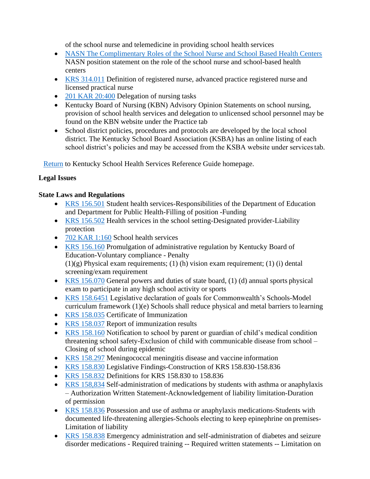of the school nurse and telemedicine in providing school health services

- [NASN The Complimentary Roles of the School Nurse and School Based Health Centers](https://schoolnursenet.nasn.org/blogs/nasn-profile/2017/03/13/school-based-health-centers-the-complementary-roles-of-the-school-nurse-and) NASN position statement on the role of the school nurse and school-based health centers
- [KRS 314.011](https://apps.legislature.ky.gov/law/statutes/statute.aspx?id=48246) Definition of registered nurse, advanced practice registered nurse and licensed practical nurse
- [201 KAR 20:400](http://kyrules.elaws.us/rule/201kar20:400) Delegation of nursing tasks
- Kentucky Board of Nursing (KBN) Advisory Opinion Statements on school nursing, provision of school health services and delegation to unlicensed school personnel may be found on the KBN website under the Practice tab
- School district policies, procedures and protocols are developed by the local school district. The Kentucky School Board Association (KSBA) has an online listing of each school district's policies and may be accessed from the KSBA website under services tab.

[Return](https://education.ky.gov/districts/SHS/Pages/default.aspx) to Kentucky School Health Services Reference Guide homepage.

## **Legal Issues**

## **State Laws and Regulations**

- [KRS 156.501](https://apps.legislature.ky.gov/law/statutes/statute.aspx?id=3214) Student health services-Responsibilities of the Department of Education and Department for Public Health-Filling of position -Funding
- [KRS 156.502](https://apps.legislature.ky.gov/law/statutes/statute.aspx?id=42933) Health services in the school setting-Designated provider-Liability protection
- [702 KAR 1:160](https://apps.legislature.ky.gov/law/kar/titles/702/001/160/) School health services
- [KRS 156.160](https://apps.legislature.ky.gov/law/Statutes/statute.aspx?id=51089) Promulgation of administrative regulation by Kentucky Board of Education-Voluntary compliance - Penalty  $(1)(g)$  Physical exam requirements; (1) (h) vision exam requirement; (1) (i) dental screening/exam requirement
- [KRS 156.070](https://apps.legislature.ky.gov/law/statutes/statute.aspx?id=51404) General powers and duties of state board, (1) (d) annual sports physical exam to participate in any high school activity or sports
- [KRS 158.6451](https://apps.legislature.ky.gov/law/statutes/statute.aspx?id=3552) Legislative declaration of goals for Commonwealth's Schools-Model curriculum framework (1)(e) Schools shall reduce physical and metal barriers to learning
- [KRS 158.035](https://apps.legislature.ky.gov/law/statutes/statute.aspx?id=3425) Certificate of Immunization
- [KRS 158.037](https://apps.legislature.ky.gov/law/statutes/statute.aspx?id=3427) Report of immunization results
- [KRS 158.160](https://apps.legislature.ky.gov/law/statutes/statute.aspx?id=3456) Notification to school by parent or guardian of child's medical condition threatening school safety-Exclusion of child with communicable disease from school – Closing of school during epidemic
- [KRS 158.297](https://law.justia.com/codes/kentucky/2019/chapter-158/section-158-297/) Meningococcal meningitis disease and vaccine information
- [KRS 158.830](https://apps.legislature.ky.gov/law/statutes/statute.aspx?id=51242) Legislative Findings-Construction of KRS 158.830-158.836
- [KRS 158.832](https://apps.legislature.ky.gov/law/statutes/statute.aspx?id=51242) Definitions for KRS 158.830 to 158.836
- [KRS 158,834](https://casetext.com/statute/kentucky-revised-statutes/title-13-education/chapter-158-conduct-of-schools-special-programs/asthma-diabetes-and-seizure-disorder-medications/section-158834-self-administration-of-medications-by-students-with-asthma-or-anaphylaxis-authorization-written-statement-acknowledgment-of-liability-limitation-duration-of-permission) Self-administration of medications by students with asthma or anaphylaxis – Authorization Written Statement-Acknowledgement of liability limitation-Duration of permission
- [KRS 158.836](https://apps.legislature.ky.gov/law/statutes/statute.aspx?id=51243) Possession and use of asthma or anaphylaxis medications-Students with documented life-threatening allergies-Schools electing to keep epinephrine on premises-Limitation of liability
- [KRS 158.838](https://apps.legislature.ky.gov/law/statutes/statute.aspx?id=48030) Emergency administration and self-administration of diabetes and seizure disorder medications - Required training -- Required written statements -- Limitation on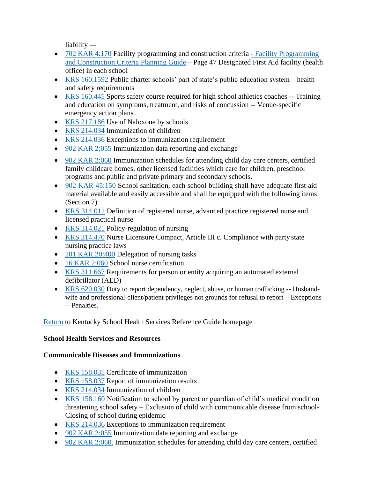liability ---

- [702 KAR 4:170](https://apps.legislature.ky.gov/law/kar/titles/702/004/170/) Facility programming and construction criteria Facility Programming [and Construction Criteria Planning Guide](https://education.ky.gov/districts/fac/Documents/Facility%20Programming%20and%20Construction%20Criteria%20Planning%20Guide%203%206%2015.pdf) – Page 47 Designated First Aid facility (health office) in each school
- [KRS 160.1592](https://apps.legislature.ky.gov/law/statutes/statute.aspx?id=50432) Public charter schools' part of state's public education system health and safety requirements
- [KRS 160.445](https://law.justia.com/codes/kentucky/2015/chapter-160/section-160.445/) Sports safety course required for high school athletics coaches -- Training and education on symptoms, treatment, and risks of concussion -- Venue-specific emergency action plans.
- [KRS 217.186](https://apps.legislature.ky.gov/law/statutes/statute.aspx?id=49014) Use of Naloxone by schools
- [KRS 214.034](https://apps.legislature.ky.gov/law/statutes/statute.aspx?id=8777) Immunization of children
- [KRS 214.036](https://apps.legislature.ky.gov/law/statutes/statute.aspx?id=51860) Exceptions to immunization requirement
- [902 KAR 2:055](https://apps.legislature.ky.gov/law/kar/titles/902/002/055/) Immunization data reporting and exchange
- [902 KAR 2:060](https://apps.legislature.ky.gov/law/kar/titles/902/002/060/) Immunization schedules for attending child day care centers, certified family childcare homes, other licensed facilities which care for children, preschool programs and public and private primary and secondary schools.
- [902 KAR 45:150](https://apps.legislature.ky.gov/law/kar/titles/902/045/150/) School sanitation, each school building shall have adequate first aid material available and easily accessible and shall be equipped with the following items (Section 7)
- [KRS 314.011](https://apps.legislature.ky.gov/law/statutes/statute.aspx?id=48246) Definition of registered nurse, advanced practice registered nurse and licensed practical nurse
- [KRS 314.021](https://apps.legislature.ky.gov/law/statutes/statute.aspx?id=51270) Policy-regulation of nursing
- [KRS 314.470](https://law.justia.com/codes/kentucky/2019/chapter-314/) Nurse Licensure Compact, Article III c. Compliance with party state nursing practice laws
- [201 KAR 20:400](https://apps.legislature.ky.gov/law/kar/titles/201/020/400/) Delegation of nursing tasks
- [16 KAR 2:060](http://kyrules.elaws.us/rule/16kar2:060) School nurse certification
- [KRS 311.667](https://apps.legislature.ky.gov/law/statutes/statute.aspx?id=30606) Requirements for person or entity acquiring an automated external defibrillator (AED)
- [KRS 620.030](https://apps.legislature.ky.gov/law/statutes/statute.aspx?id=49898) Duty to report dependency, neglect, abuse, or human trafficking -- Husbandwife and professional-client/patient privileges not grounds for refusal to report --Exceptions -- Penalties.

## [Return](https://education.ky.gov/districts/SHS/Pages/default.aspx) to Kentucky School Health Services Reference Guide homepage

## **School Health Services and Resources**

## **Communicable Diseases and Immunizations**

- [KRS 158.035](https://apps.legislature.ky.gov/law/statutes/statute.aspx?id=3425) Certificate of immunization
- [KRS 158.037](https://apps.legislature.ky.gov/law/statutes/statute.aspx?id=3427) Report of immunization results
- [KRS 214.034](https://apps.legislature.ky.gov/law/statutes/statute.aspx?id=8777) Immunization of children
- [KRS 158.160](https://apps.legislature.ky.gov/law/statutes/statute.aspx?id=3456) Notification to school by parent or guardian of child's medical condition threatening school safety – Exclusion of child with communicable disease from school-Closing of school during epidemic
- [KRS 214.036](https://apps.legislature.ky.gov/law/statutes/statute.aspx?id=51860) Exceptions to immunization requirement
- [902 KAR 2:055](https://apps.legislature.ky.gov/law/kar/titles/902/002/055/) Immunization data reporting and exchange
- [902 KAR 2:060.](https://apps.legislature.ky.gov/law/kar/titles/902/002/060/) Immunization schedules for attending child day care centers, certified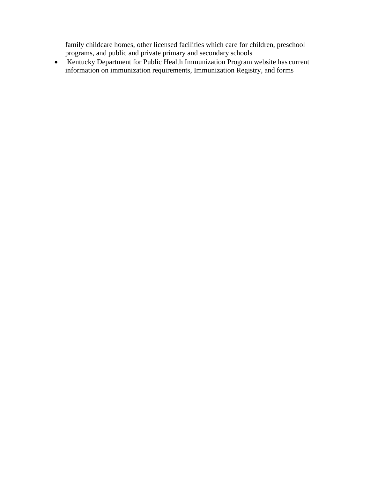family childcare homes, other licensed facilities which care for children, preschool programs, and public and private primary and secondary schools

• Kentucky Department for Public Health Immunization Program website has current information on immunization requirements, Immunization Registry, and forms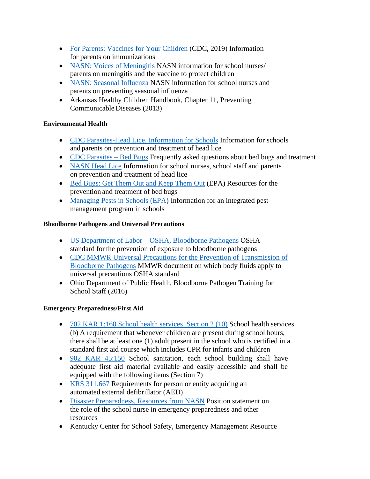- [For Parents: Vaccines for Your Children](https://www.cdc.gov/vaccines/parents/index.html) (CDC, 2019) Information for parents on immunizations
- [NASN: Voices of Meningitis](https://www.nasn.org/nasn/programs/educational-initiatives/vom) NASN information for school nurses/ parents on meningitis and the vaccine to protect children
- [NASN: Seasonal Influenza](https://www.nasn.org/nasn-resources/practice-topics/seasonal-influenza) NASN information for school nurses and parents on preventing seasonal influenza
- Arkansas Healthy Children Handbook, Chapter 11, Preventing Communicable Diseases (2013)

## **Environmental Health**

- [CDC Parasites-Head Lice, Information for Schools](https://www.cdc.gov/parasites/lice/head/schools.html) Information for schools and parents on prevention and treatment of head lice
- [CDC Parasites –](https://www.cdc.gov/parasites/bedbugs/index.html) Bed Bugs Frequently asked questions about bed bugs and treatment
- [NASN Head Lice](https://www.nasn.org/nasn-resources/resources-by-topic/head-lice) Information for school nurses, school staff and parents on prevention and treatment of head lice
- [Bed Bugs: Get Them Out and Keep Them Out](https://www.epa.gov/bedbugs) (EPA) Resources for the prevention and treatment of bed bugs
- [Managing Pests in Schools \(EPA\)](https://www.epa.gov/managing-pests-schools) Information for an integrated pest management program in schools

## **Bloodborne Pathogens and Universal Precautions**

- US Department of Labor [OSHA, Bloodborne Pathogens](https://www.osha.gov/pls/oshaweb/owadisp.show_document?p_table=STANDARDS&p_id=10051) OSHA standard for the prevention of exposure to bloodborne pathogens
- [CDC MMWR Universal Precautions for the Prevention of Transmission of](https://www.cdc.gov/mmwr/preview/mmwrhtml/00000039.htm) [Bloodborne](https://www.cdc.gov/mmwr/preview/mmwrhtml/00000039.htm) [Pathogens](https://www.cdc.gov/mmwr/preview/mmwrhtml/00000039.htm) MMWR document on which body fluids apply to universal precautions OSHA standard
- Ohio Department of Public Health, Bloodborne Pathogen Training for School Staff (2016)

## **Emergency Preparedness/First Aid**

- [702 KAR 1:160 School health services, Section 2 \(10\)](https://apps.legislature.ky.gov/law/kar/titles/702/001/160/) School health services (b) A requirement that whenever children are present during school hours, there shall be at least one (1) adult present in the school who is certified in a standard first aid course which includes CPR for infants and children
- [902 KAR 45:150](https://apps.legislature.ky.gov/law/kar/titles/902/045/150/) School sanitation, each school building shall have adequate first aid material available and easily accessible and shall be equipped with the following items (Section 7)
- [KRS 311.667](https://apps.legislature.ky.gov/law/statutes/statute.aspx?id=30606) Requirements for person or entity acquiring an automated external defibrillator (AED)
- [Disaster Preparedness, Resources from NASN](https://www.nasn.org/nasn-resources/practice-topics/disaster-preparedness) Position statement on the role of the school nurse in emergency preparedness and other resources
- Kentucky Center for School Safety, Emergency Management Resource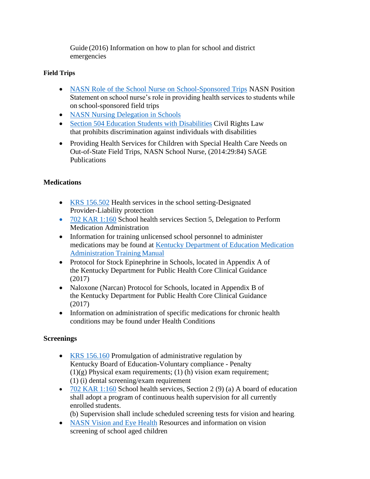Guide (2016) Information on how to plan for school and district emergencies

## **Field Trips**

- [NASN Role of the School Nurse on School-Sponsored Trips](https://www.nasn.org/nasn-resources/professional-practice-documents/position-statements/ps-trips) NASN Position Statement on school nurse's role in providing health services to students while on school-sponsored field trips
- NA[SN Nursing Delegation in Schools](https://www.nasn.org/nasn-resources/resources-by-topic/delegation)
- [Section 504 Education Students with Disabilities](https://www2.ed.gov/about/offices/list/ocr/504faq.html) Civil Rights Law that prohibits discrimination against individuals with disabilities
- Providing Health Services for Children with Special Health Care Needs on Out-of-State Field Trips, NASN School Nurse, (2014:29:84) SAGE Publications

# **Medications**

- [KRS 156.502](https://apps.legislature.ky.gov/law/statutes/statute.aspx?id=42933) Health services in the school setting-Designated Provider-Liability protection
- [702 KAR 1:160](https://apps.legislature.ky.gov/law/kar/titles/702/001/160/) School health services Section 5, Delegation to Perform Medication Administration
- Information for training unlicensed school personnel to administer [medications may be](https://education.ky.gov/districts/SHS/Pages/Medication-Administration-Training-Program.aspx) found at [Kentucky Department of Education Medication](https://education.ky.gov/districts/SHS/Pages/Medication-Administration-Training-Program.aspx)  [Administration Training](https://education.ky.gov/districts/SHS/Pages/Medication-Administration-Training-Program.aspx) Manual
- Protocol for Stock Epinephrine in Schools, located in Appendix A of the Kentucky Department for Public Health Core Clinical Guidance (2017)
- Naloxone (Narcan) Protocol for Schools, located in Appendix B of the Kentucky Department for Public Health Core Clinical Guidance (2017)
- Information on administration of specific medications for chronic health conditions may be found under Health Conditions

## **Screenings**

- [KRS 156.160](https://apps.legislature.ky.gov/law/kar/titles/702/001/160/) Promulgation of administrative regulation by Kentucky Board of Education-Voluntary compliance - Penalty  $(1)(g)$  Physical exam requirements;  $(1)(h)$  vision exam requirement; (1) (i) dental screening/exam requirement
- $702$  KAR 1:160 School health services, Section 2 (9) (a) A board of education shall adopt a program of continuous health supervision for all currently enrolled students.

(b) Supervision shall include scheduled screening tests for vision and hearing.

• [NASN Vision and Eye Health](https://www.nasn.org/nasn-resources/practice-topics/vision-health) Resources and information on vision screening of school aged children